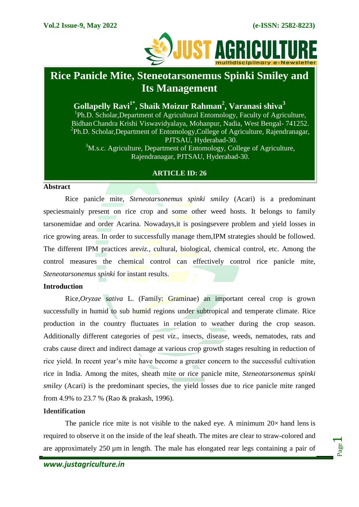

# **Rice Panicle Mite, Steneotarsonemus Spinki Smiley and Its Management**

# **Gollapelly Ravi1\*, Shaik Moizur Rahman<sup>2</sup> , Varanasi shiva<sup>3</sup>**

<sup>1</sup>Ph.D. Scholar, Department of Agricultural Entomology, Faculty of Agriculture, BidhanChandra Krishi Viswavidyalaya, Mohanpur, Nadia, West Bengal- 741252. <sup>2</sup>Ph.D. Scholar, Department of Entomology, College of Agriculture, Rajendranagar, PJTSAU, Hyderabad-30.  $3$ M.s.c. Agriculture, Department of Entomology, College of Agriculture, Rajendranagar, PJTSAU, Hyderabad-30.

# **ARTICLE ID: 26**

#### **Abstract**

Rice panicle mite, *Steneotarsonemus spinki smiley* (Acari) is a predominant speciesmainly present on rice crop and some other weed hosts. It belongs to family tarsonemidae and order Acarina. Nowadays,it is posingsevere problem and yield losses in rice growing areas. In order to successfully manage them,IPM strategies should be followed. The different IPM practices are*viz.,* cultural, biological, chemical control, etc. Among the control measures the chemical control can effectively control rice panicle mite, *Steneotarsonemus spinki* for instant results.

# **Introduction**

Rice,*Oryzae sativa* L. (Family: Graminae) an important cereal crop is grown successfully in humid to sub humid regions under subtropical and temperate climate. Rice production in the country fluctuates in relation to weather during the crop season. Additionally different categories of pest *viz.,* insects, disease, weeds, nematodes, rats and crabs cause direct and indirect damage at various crop growth stages resulting in reduction of rice yield. In recent year's mite have become a greater concern to the successful cultivation rice in India. Among the mites, sheath mite or rice panicle mite, *Steneotarsonemus spinki smiley* (Acari) is the predominant species, the yield losses due to rice panicle mite ranged from 4.9% to 23.7 % (Rao & prakash, 1996).

# **Identification**

The panicle rice mite is not visible to the naked eye. A minimum  $20 \times$  [hand lens](https://en.wikipedia.org/wiki/Magnifying_glass) is required to observe it on the inside of the [leaf](https://en.wikipedia.org/wiki/Leaf) sheath. The mites are clear to straw-colored and are approximately 250 [µm](https://en.wikipedia.org/wiki/%CE%9Cm) in length. The male has elongated rear legs containing a pair of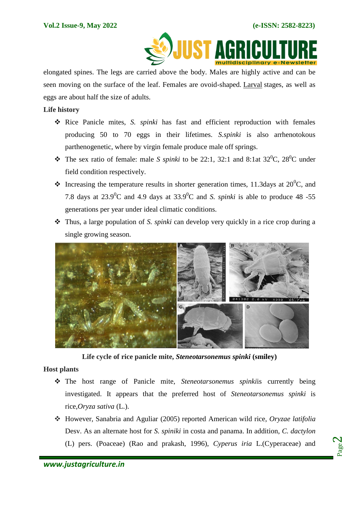

elongated spines. The legs are carried above the body. Males are highly active and can be seen moving on the surface of the leaf. Females are ovoid-shaped. [Larval](https://en.wikipedia.org/wiki/Larva) stages, as well as eggs are about half the size of adults.

# **Life history**

- Rice Panicle mites, *S. spinki* has fast and efficient reproduction with females producing 50 to 70 eggs in their lifetimes. *S.spinki* is also arrhenotokous parthenogenetic, where by virgin female produce male off springs.
- $\div$  The sex ratio of female: male *S spinki* to be 22:1, 32:1 and 8:1at 32<sup>0</sup>C, 28<sup>0</sup>C under field condition respectively.
- $\cdot$  Increasing the temperature results in shorter generation times, 11.3days at 20<sup>0</sup>C, and 7.8 days at  $23.9^{\circ}$ C and 4.9 days at  $33.9^{\circ}$ C and *S. spinki* is able to produce 48 -55 generations per year under ideal climatic conditions.
- Thus, a large population of *S. spinki* can develop very quickly in a rice crop during a single growing season.



**Life cycle of rice panicle mite,** *Steneotarsonemus spinki* **(smiley)**

# **Host plants**

- The host range of Panicle mite, *Steneotarsonemus spinki*is currently being investigated. It appears that the preferred host of *Steneotarsonemus spinki* is rice,*[Oryza sativa](https://en.wikipedia.org/wiki/Oryza_sativa)* (L.).
- However, Sanabria and Aguliar (2005) reported American wild rice, *Oryzae latifolia* Desv. As an alternate host for *S. spiniki* in costa and panama. In addition, *C. dactylon* (L) pers. (Poaceae) (Rao and prakash, 1996), *Cyperus iria* L.(Cyperaceae) and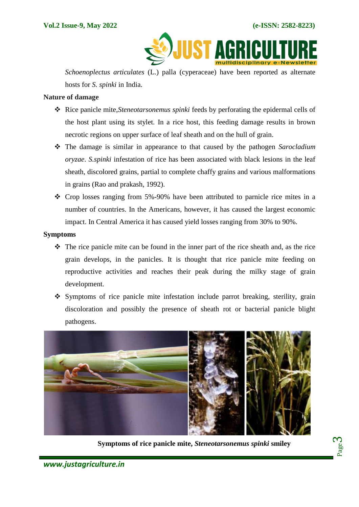**JUST AGR** 

*Schoenoplectus articulates* (L.) palla (cyperaceae) have been reported as alternate hosts for *S. spinki* in India.

# **Nature of damage**

- Rice panicle mite,*Steneotarsonemus spinki* feeds by perforating the epidermal cells of the host plant using its stylet. In a rice host, this feeding damage results in brown necrotic regions on upper surface of leaf sheath and on the hull of grain.
- The damage is similar in appearance to that caused by the pathogen *Sarocladium oryzae*. *S.spinki* infestation of rice has been associated with black lesions in the leaf sheath, discolored grains, partial to complete chaffy grains and various malformations in grains (Rao and prakash, 1992).
- $\div$  Crop losses ranging from 5%-90% have been attributed to parnicle rice mites in a number of countries. In the Americans, however, it has caused the largest economic impact. In Central America it has caused yield losses ranging from 30% to 90%.

#### **Symptoms**

- $\hat{\cdot}$  The rice panicle mite can be found in the inner part of the rice sheath and, as the rice grain develops, in the panicles. It is thought that rice panicle mite feeding on reproductive activities and reaches their peak during the milky stage of grain development.
- Symptoms of rice panicle mite infestation include parrot breaking, sterility, grain discoloration and possibly the presence of sheath rot or bacterial panicle blight pathogens.



**Symptoms of rice panicle mite,** *Steneotarsonemus spinki* **smiley**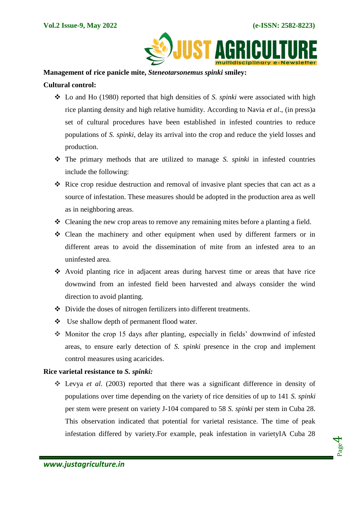

#### **Management of rice panicle mite,** *Steneotarsonemus spinki* **smiley:**

# **Cultural control:**

- Lo and Ho (1980) reported that high densities of *S. spinki* were associated with high rice planting density and high relative humidity. According to Navia *et al*., (in press)a set of cultural procedures have been established in infested countries to reduce populations of *S. spinki*, delay its arrival into the crop and reduce the yield losses and production.
- The primary methods that are utilized to manage *S. spinki* in infested countries include the following:
- $\hat{\mathbf{\cdot}}$  Rice crop residue destruction and removal of invasive plant species that can act as a source of infestation. These measures should be adopted in the production area as well as in neighboring areas.
- Cleaning the new crop areas to remove any remaining mites before a planting a field.
- Clean the machinery and other equipment when used by different farmers or in different areas to avoid the dissemination of mite from an infested area to an uninfested area.
- Avoid planting rice in adjacent areas during harvest time or areas that have rice downwind from an infested field been harvested and always consider the wind direction to avoid planting.
- Divide the doses of nitrogen fertilizers into different treatments.
- Use shallow depth of permanent flood water.
- Monitor the crop 15 days after planting, especially in fields' downwind of infested areas, to ensure early detection of *S. spinki* presence in the crop and implement control measures using acaricides.

#### **Rice varietal resistance to** *S. spinki:*

 Levya *et al*. (2003) reported that there was a significant difference in density of populations over time depending on the variety of rice densities of up to 141 *S. spinki* per stem were present on variety J-104 compared to 58 *S. spinki* per stem in Cuba 28. This observation indicated that potential for varietal resistance. The time of peak infestation differed by variety.For example, peak infestation in varietyIA Cuba 28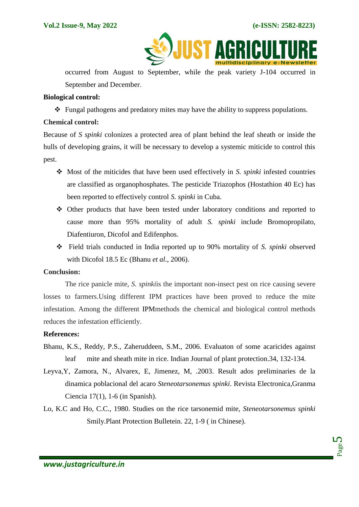

occurred from August to September, while the peak variety J-104 occurred in September and December.

# **Biological control:**

 $\triangle$  Fungal pathogens and predatory mites may have the ability to suppress populations.

# **Chemical control:**

Because of *S spinki* colonizes a protected area of plant behind the leaf sheath or inside the hulls of developing grains, it will be necessary to develop a systemic miticide to control this pest.

- Most of the miticides that have been used effectively in *S. spinki* infested countries are classified as organophosphates. The pesticide Triazophos (Hostathion 40 Ec) has been reported to effectively control *S. spinki* in Cuba.
- Other products that have been tested under laboratory conditions and reported to cause more than 95% mortality of adult *S. spinki* include Bromopropilato, Diafentiuron, Dicofol and Edifenphos.
- Field trials conducted in India reported up to 90% mortality of *S. spinki* observed with Dicofol 18.5 Ec (Bhanu *et al*., 2006).

#### **Conclusion:**

The rice panicle mite, *S. spinki*is the important non-insect pest on rice causing severe losses to farmers.Using different IPM practices have been proved to reduce the mite infestation. Among the different IPMmethods the chemical and biological control methods reduces the infestation efficiently.

# **References:**

- Bhanu, K.S., Reddy, P.S., Zaheruddeen, S.M., 2006. Evaluaton of some acaricides against leaf mite and sheath mite in rice. Indian Journal of plant protection.34, 132-134.
- Leyva,Y, Zamora, N., Alvarex, E, Jimenez, M, .2003. Result ados preliminaries de la dinamica poblacional del acaro *Steneotarsonemus spinki*. Revista Electronica,Granma Ciencia 17(1), 1-6 (in Spanish).
- Lo, K.C and Ho, C.C., 1980. Studies on the rice tarsonemid mite, *Steneotarsonemus spinki* Smily.Plant Protection Bulletein. 22, 1-9 ( in Chinese).